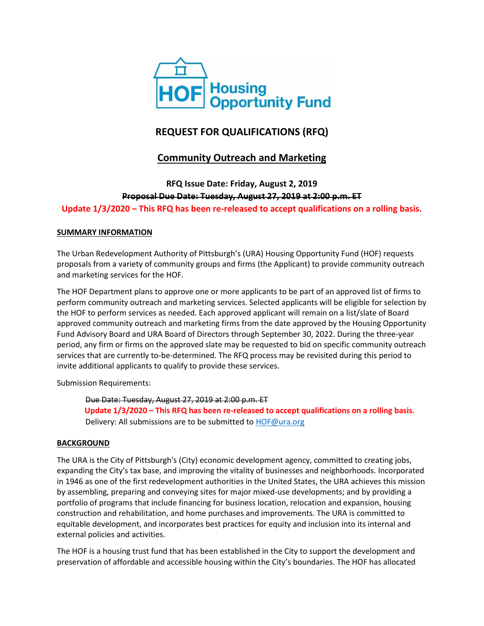

# **REQUEST FOR QUALIFICATIONS (RFQ)**

# **Community Outreach and Marketing**

**RFQ Issue Date: Friday, August 2, 2019 Proposal Due Date: Tuesday, August 27, 2019 at 2:00 p.m. ET Update 1/3/2020 – This RFQ has been re-released to accept qualifications on a rolling basis.**

#### **SUMMARY INFORMATION**

The Urban Redevelopment Authority of Pittsburgh's (URA) Housing Opportunity Fund (HOF) requests proposals from a variety of community groups and firms (the Applicant) to provide community outreach and marketing services for the HOF.

The HOF Department plans to approve one or more applicants to be part of an approved list of firms to perform community outreach and marketing services. Selected applicants will be eligible for selection by the HOF to perform services as needed. Each approved applicant will remain on a list/slate of Board approved community outreach and marketing firms from the date approved by the Housing Opportunity Fund Advisory Board and URA Board of Directors through September 30, 2022. During the three-year period, any firm or firms on the approved slate may be requested to bid on specific community outreach services that are currently to-be-determined. The RFQ process may be revisited during this period to invite additional applicants to qualify to provide these services.

Submission Requirements:

Due Date: Tuesday, August 27, 2019 at 2:00 p.m. ET  **Update 1/3/2020 – This RFQ has been re-released to accept qualifications on a rolling basis.** Delivery: All submissions are to be submitted t[o HOF@ura.org](mailto:HOF@ura.org)

#### **BACKGROUND**

The URA is the City of Pittsburgh's (City) economic development agency, committed to creating jobs, expanding the City's tax base, and improving the vitality of businesses and neighborhoods. Incorporated in 1946 as one of the first redevelopment authorities in the United States, the URA achieves this mission by assembling, preparing and conveying sites for major mixed-use developments; and by providing a portfolio of programs that include financing for business location, relocation and expansion, housing construction and rehabilitation, and home purchases and improvements. The URA is committed to equitable development, and incorporates best practices for equity and inclusion into its internal and external policies and activities.

The HOF is a housing trust fund that has been established in the City to support the development and preservation of affordable and accessible housing within the City's boundaries. The HOF has allocated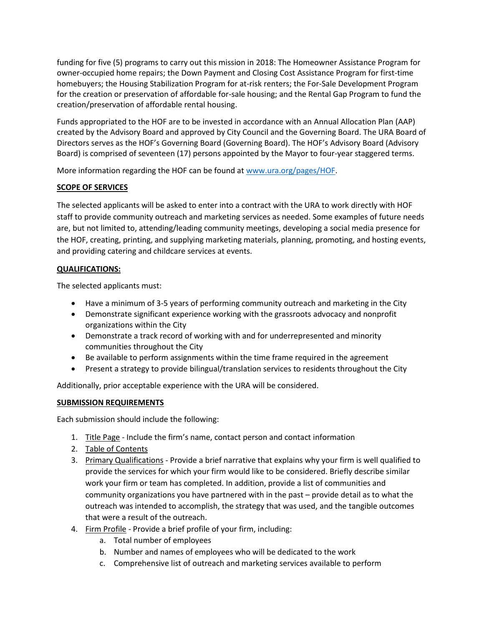funding for five (5) programs to carry out this mission in 2018: The Homeowner Assistance Program for owner-occupied home repairs; the Down Payment and Closing Cost Assistance Program for first-time homebuyers; the Housing Stabilization Program for at-risk renters; the For-Sale Development Program for the creation or preservation of affordable for-sale housing; and the Rental Gap Program to fund the creation/preservation of affordable rental housing.

Funds appropriated to the HOF are to be invested in accordance with an Annual Allocation Plan (AAP) created by the Advisory Board and approved by City Council and the Governing Board. The URA Board of Directors serves as the HOF's Governing Board (Governing Board). The HOF's Advisory Board (Advisory Board) is comprised of seventeen (17) persons appointed by the Mayor to four-year staggered terms.

More information regarding the HOF can be found at [www.ura.org/pages/HOF.](http://www.ura.org/pages/HOF)

### **SCOPE OF SERVICES**

The selected applicants will be asked to enter into a contract with the URA to work directly with HOF staff to provide community outreach and marketing services as needed. Some examples of future needs are, but not limited to, attending/leading community meetings, developing a social media presence for the HOF, creating, printing, and supplying marketing materials, planning, promoting, and hosting events, and providing catering and childcare services at events.

### **QUALIFICATIONS:**

The selected applicants must:

- Have a minimum of 3-5 years of performing community outreach and marketing in the City
- Demonstrate significant experience working with the grassroots advocacy and nonprofit organizations within the City
- Demonstrate a track record of working with and for underrepresented and minority communities throughout the City
- Be available to perform assignments within the time frame required in the agreement
- Present a strategy to provide bilingual/translation services to residents throughout the City

Additionally, prior acceptable experience with the URA will be considered.

### **SUBMISSION REQUIREMENTS**

Each submission should include the following:

- 1. Title Page Include the firm's name, contact person and contact information
- 2. Table of Contents
- 3. Primary Qualifications Provide a brief narrative that explains why your firm is well qualified to provide the services for which your firm would like to be considered. Briefly describe similar work your firm or team has completed. In addition, provide a list of communities and community organizations you have partnered with in the past – provide detail as to what the outreach was intended to accomplish, the strategy that was used, and the tangible outcomes that were a result of the outreach.
- 4. Firm Profile Provide a brief profile of your firm, including:
	- a. Total number of employees
	- b. Number and names of employees who will be dedicated to the work
	- c. Comprehensive list of outreach and marketing services available to perform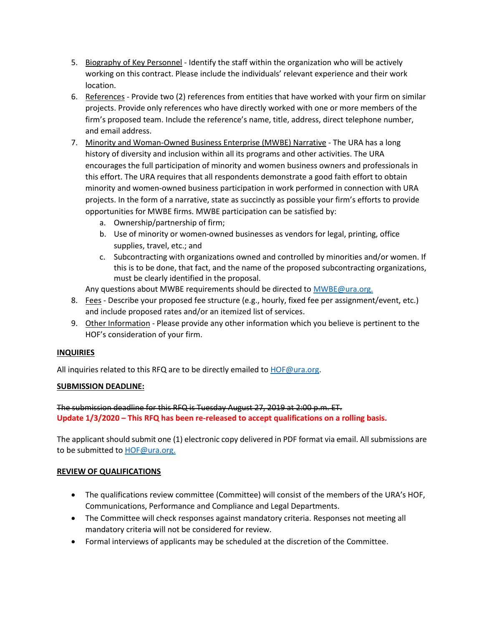- 5. Biography of Key Personnel Identify the staff within the organization who will be actively working on this contract. Please include the individuals' relevant experience and their work location.
- 6. References Provide two (2) references from entities that have worked with your firm on similar projects. Provide only references who have directly worked with one or more members of the firm's proposed team. Include the reference's name, title, address, direct telephone number, and email address.
- 7. Minority and Woman-Owned Business Enterprise (MWBE) Narrative The URA has a long history of diversity and inclusion within all its programs and other activities. The URA encourages the full participation of minority and women business owners and professionals in this effort. The URA requires that all respondents demonstrate a good faith effort to obtain minority and women-owned business participation in work performed in connection with URA projects. In the form of a narrative, state as succinctly as possible your firm's efforts to provide opportunities for MWBE firms. MWBE participation can be satisfied by:
	- a. Ownership/partnership of firm;
	- b. Use of minority or women-owned businesses as vendors for legal, printing, office supplies, travel, etc.; and
	- c. Subcontracting with organizations owned and controlled by minorities and/or women. If this is to be done, that fact, and the name of the proposed subcontracting organizations, must be clearly identified in the proposal.

Any questions about MWBE requirements should be directed t[o MWBE@ura.org.](mailto:MWBE@ura.org)

- 8. Fees Describe your proposed fee structure (e.g., hourly, fixed fee per assignment/event, etc.) and include proposed rates and/or an itemized list of services.
- 9. Other Information Please provide any other information which you believe is pertinent to the HOF's consideration of your firm.

### **INQUIRIES**

All inquiries related to this RFQ are to be directly emailed to **HOF@ura.org**.

### **SUBMISSION DEADLINE:**

The submission deadline for this RFQ is Tuesday August 27, 2019 at 2:00 p.m. ET. **Update 1/3/2020 – This RFQ has been re-released to accept qualifications on a rolling basis.**

The applicant should submit one (1) electronic copy delivered in PDF format via email. All submissions are to be submitted to **HOF@ura.org.** 

### **REVIEW OF QUALIFICATIONS**

- The qualifications review committee (Committee) will consist of the members of the URA's HOF, Communications, Performance and Compliance and Legal Departments.
- The Committee will check responses against mandatory criteria. Responses not meeting all mandatory criteria will not be considered for review.
- Formal interviews of applicants may be scheduled at the discretion of the Committee.